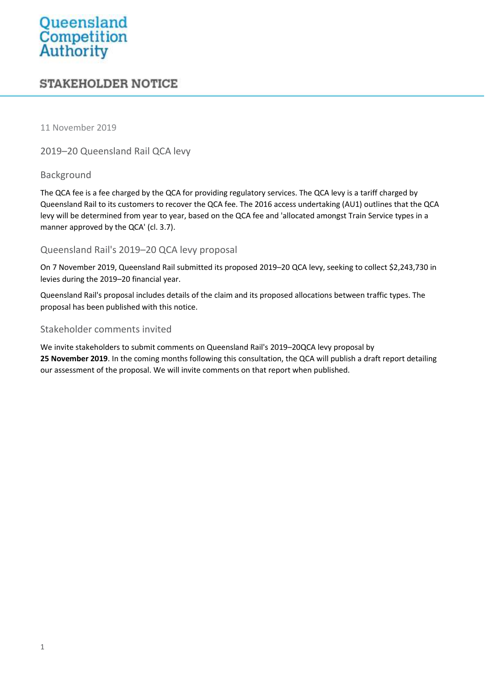# Queensland<br>Competition<br>Authority

# **STAKEHOLDER NOTICE**

11 November 2019

2019–20 Queensland Rail QCA levy

## Background

The QCA fee is a fee charged by the QCA for providing regulatory services. The QCA levy is a tariff charged by Queensland Rail to its customers to recover the QCA fee. The 2016 access undertaking (AU1) outlines that the QCA levy will be determined from year to year, based on the QCA fee and 'allocated amongst Train Service types in a manner approved by the QCA' (cl. 3.7).

## Queensland Rail's 2019–20 QCA levy proposal

On 7 November 2019, Queensland Rail submitted its proposed 2019–20 QCA levy, seeking to collect \$2,243,730 in levies during the 2019–20 financial year.

Queensland Rail's proposal includes details of the claim and its proposed allocations between traffic types. The proposal has been published with this notice.

#### Stakeholder comments invited

We invite stakeholders to submit comments on Queensland Rail's 2019–20QCA levy proposal by **25 November 2019**. In the coming months following this consultation, the QCA will publish a draft report detailing our assessment of the proposal. We will invite comments on that report when published.